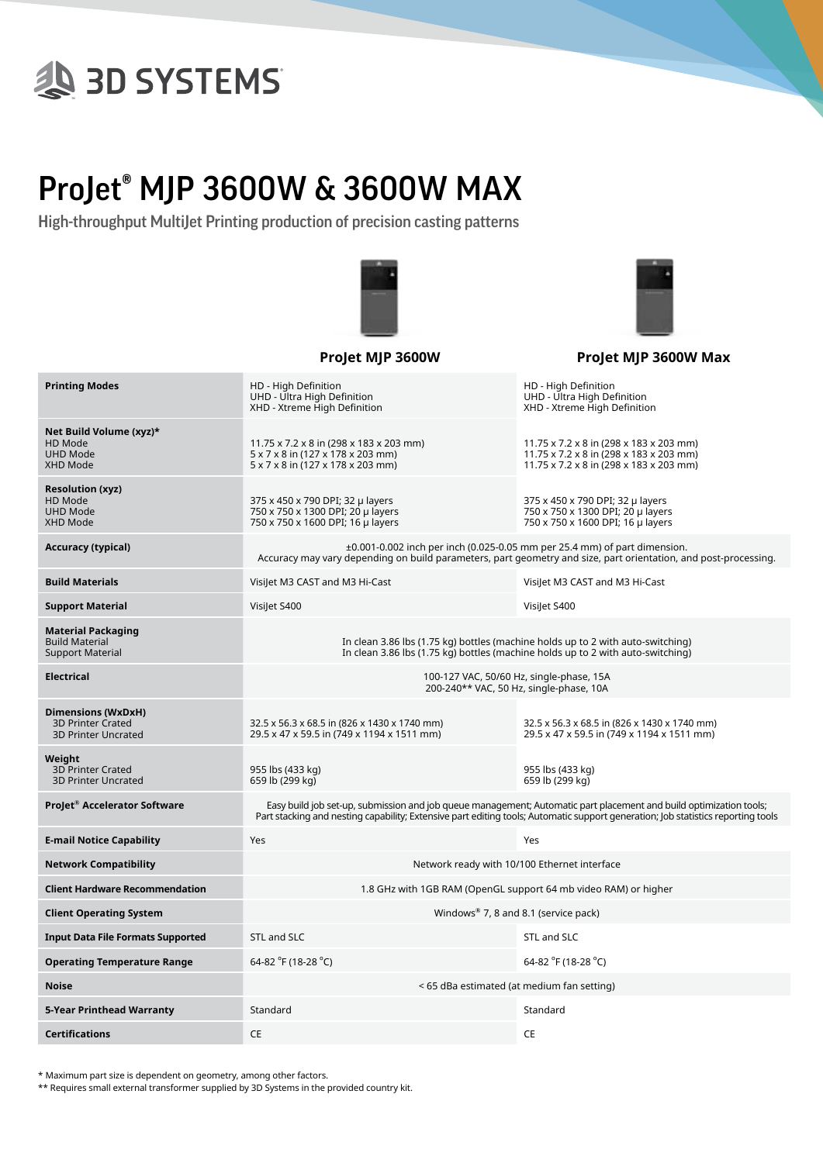# **SD SYSTEMS**

### ProJet® MJP 3600W & 3600W MAX

High-throughput MultiJet Printing production of precision casting patterns





|                                                                              | Projet MJP 3600W                                                                                                                                                                                                                                       | Projet MJP 3600W Max                                                                                                          |  |  |
|------------------------------------------------------------------------------|--------------------------------------------------------------------------------------------------------------------------------------------------------------------------------------------------------------------------------------------------------|-------------------------------------------------------------------------------------------------------------------------------|--|--|
| <b>Printing Modes</b>                                                        | HD - High Definition<br>UHD - Ultra High Definition<br>XHD - Xtreme High Definition                                                                                                                                                                    | HD - High Definition<br>UHD - Ultra High Definition<br>XHD - Xtreme High Definition                                           |  |  |
| Net Build Volume (xyz)*<br>HD Mode<br><b>UHD Mode</b><br>XHD Mode            | 11.75 x 7.2 x 8 in (298 x 183 x 203 mm)<br>5 x 7 x 8 in (127 x 178 x 203 mm)<br>5 x 7 x 8 in (127 x 178 x 203 mm)                                                                                                                                      | 11.75 x 7.2 x 8 in (298 x 183 x 203 mm)<br>11.75 x 7.2 x 8 in (298 x 183 x 203 mm)<br>11.75 x 7.2 x 8 in (298 x 183 x 203 mm) |  |  |
| <b>Resolution (xyz)</b><br>HD Mode<br><b>UHD Mode</b><br>XHD Mode            | 375 x 450 x 790 DPI; 32 µ layers<br>750 x 750 x 1300 DPI; 20 µ layers<br>750 x 750 x 1600 DPI; 16 µ layers                                                                                                                                             | 375 x 450 x 790 DPI; 32 µ layers<br>750 x 750 x 1300 DPI; 20 µ layers<br>750 x 750 x 1600 DPI; 16 µ layers                    |  |  |
| Accuracy (typical)                                                           | $\pm 0.001$ -0.002 inch per inch (0.025-0.05 mm per 25.4 mm) of part dimension.<br>Accuracy may vary depending on build parameters, part geometry and size, part orientation, and post-processing.                                                     |                                                                                                                               |  |  |
| <b>Build Materials</b>                                                       | Visilet M3 CAST and M3 Hi-Cast                                                                                                                                                                                                                         | Visilet M3 CAST and M3 Hi-Cast                                                                                                |  |  |
| <b>Support Material</b>                                                      | Visilet S400                                                                                                                                                                                                                                           | Visilet S400                                                                                                                  |  |  |
| Material Packaging<br><b>Build Material</b><br><b>Support Material</b>       | In clean 3.86 lbs (1.75 kg) bottles (machine holds up to 2 with auto-switching)<br>In clean 3.86 lbs (1.75 kg) bottles (machine holds up to 2 with auto-switching)                                                                                     |                                                                                                                               |  |  |
| Electrical                                                                   | 100-127 VAC, 50/60 Hz, single-phase, 15A<br>200-240** VAC, 50 Hz, single-phase, 10A                                                                                                                                                                    |                                                                                                                               |  |  |
| Dimensions (WxDxH)<br><b>3D Printer Crated</b><br><b>3D Printer Uncrated</b> | 32.5 x 56.3 x 68.5 in (826 x 1430 x 1740 mm)<br>29.5 x 47 x 59.5 in (749 x 1194 x 1511 mm)                                                                                                                                                             | 32.5 x 56.3 x 68.5 in (826 x 1430 x 1740 mm)<br>29.5 x 47 x 59.5 in (749 x 1194 x 1511 mm)                                    |  |  |
| Weight<br><b>3D Printer Crated</b><br><b>3D Printer Uncrated</b>             | 955 lbs (433 kg)<br>659 lb (299 kg)                                                                                                                                                                                                                    | 955 lbs (433 kg)<br>659 lb (299 kg)                                                                                           |  |  |
| ProJet® Accelerator Software                                                 | Easy build job set-up, submission and job queue management; Automatic part placement and build optimization tools;<br>Part stacking and nesting capability; Extensive part editing tools; Automatic support generation; Job statistics reporting tools |                                                                                                                               |  |  |
| <b>E-mail Notice Capability</b>                                              | Yes                                                                                                                                                                                                                                                    | Yes                                                                                                                           |  |  |
| <b>Network Compatibility</b>                                                 | Network ready with 10/100 Ethernet interface                                                                                                                                                                                                           |                                                                                                                               |  |  |
| <b>Client Hardware Recommendation</b>                                        | 1.8 GHz with 1GB RAM (OpenGL support 64 mb video RAM) or higher                                                                                                                                                                                        |                                                                                                                               |  |  |
| <b>Client Operating System</b>                                               | Windows <sup>®</sup> 7, 8 and 8.1 (service pack)                                                                                                                                                                                                       |                                                                                                                               |  |  |
| <b>Input Data File Formats Supported</b>                                     | STL and SLC                                                                                                                                                                                                                                            | STL and SLC                                                                                                                   |  |  |
| <b>Operating Temperature Range</b>                                           | 64-82 °F (18-28 °C)                                                                                                                                                                                                                                    | 64-82 °F (18-28 °C)                                                                                                           |  |  |
| Noise                                                                        | < 65 dBa estimated (at medium fan setting)                                                                                                                                                                                                             |                                                                                                                               |  |  |
| 5-Year Printhead Warranty                                                    | Standard                                                                                                                                                                                                                                               | Standard                                                                                                                      |  |  |
| Certifications                                                               | <b>CE</b>                                                                                                                                                                                                                                              | CE                                                                                                                            |  |  |

\* Maximum part size is dependent on geometry, among other factors.

\*\* Requires small external transformer supplied by 3D Systems in the provided country kit.